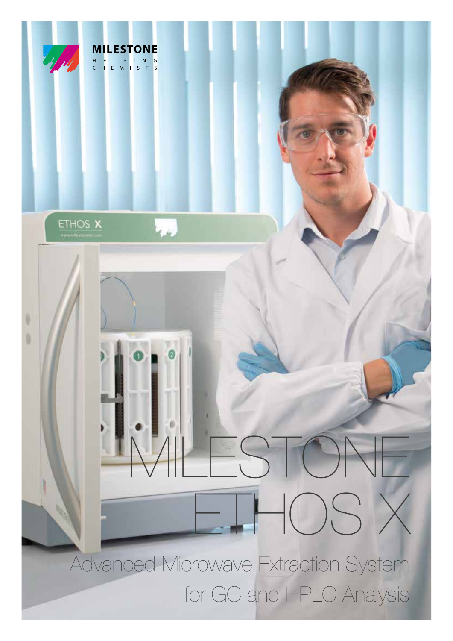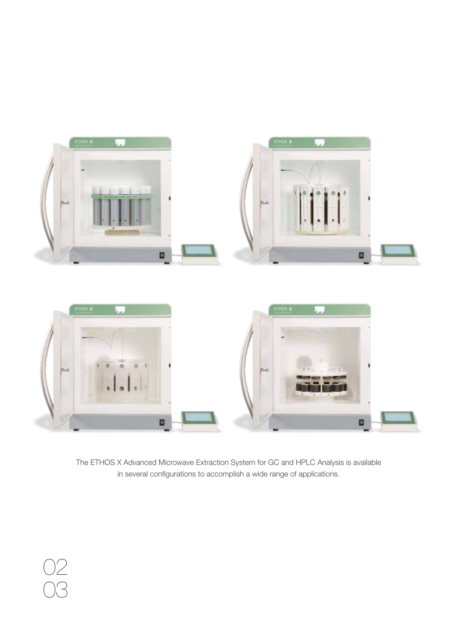



O

o

02

03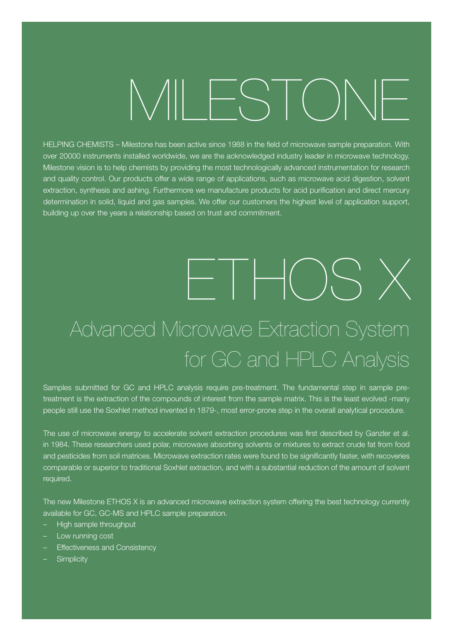# MILESTONE

HELPING CHEMISTS – Milestone has been active since 1988 in the field of microwave sample preparation. With over 20000 instruments installed worldwide, we are the acknowledged industry leader in microwave technology. Milestone vision is to help chemists by providing the most technologically advanced instrumentation for research and quality control. Our products offer a wide range of applications, such as microwave acid digestion, solvent extraction, synthesis and ashing. Furthermore we manufacture products for acid purification and direct mercury determination in solid, liquid and gas samples. We offer our customers the highest level of application support, building up over the years a relationship based on trust and commitment.

#### ETHOS X Advanced Microwave Extraction System for GC and HPLC Analysis

Samples submitted for GC and HPLC analysis require pre-treatment. The fundamental step in sample pretreatment is the extraction of the compounds of interest from the sample matrix. This is the least evolved -many people still use the Soxhlet method invented in 1879-, most error-prone step in the overall analytical procedure.

The use of microwave energy to accelerate solvent extraction procedures was first described by Ganzler et al. in 1984. These researchers used polar, microwave absorbing solvents or mixtures to extract crude fat from food and pesticides from soil matrices. Microwave extraction rates were found to be significantly faster, with recoveries comparable or superior to traditional Soxhlet extraction, and with a substantial reduction of the amount of solvent required.

The new Milestone ETHOS X is an advanced microwave extraction system offering the best technology currently available for GC, GC-MS and HPLC sample preparation.

- High sample throughput
- Low running cost
- Effectiveness and Consistency
- Simplicity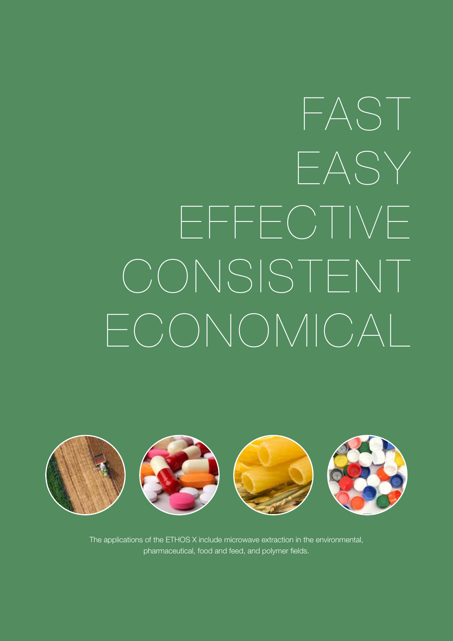## FAST EASY EFFECTIVE CONSISTENT ECONOMICAL



The applications of the ETHOS X include microwave extraction in the environmental, pharmaceutical, food and feed, and polymer fields.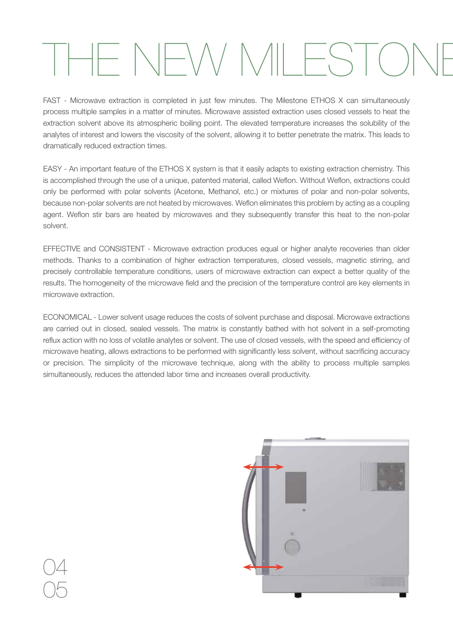## $-$  NFW MILEST

FAST - Microwave extraction is completed in just few minutes. The Milestone ETHOS X can simultaneously process multiple samples in a matter of minutes. Microwave assisted extraction uses closed vessels to heat the extraction solvent above its atmospheric boiling point. The elevated temperature increases the solubility of the analytes of interest and lowers the viscosity of the solvent, allowing it to better penetrate the matrix. This leads to dramatically reduced extraction times.

EASY - An important feature of the ETHOS X system is that it easily adapts to existing extraction chemistry. This is accomplished through the use of a unique, patented material, called Weflon. Without Weflon, extractions could only be performed with polar solvents (Acetone, Methanol, etc.) or mixtures of polar and non-polar solvents, because non-polar solvents are not heated by microwaves. Weflon eliminates this problem by acting as a coupling agent. Weflon stir bars are heated by microwaves and they subsequently transfer this heat to the non-polar solvent.

EFFECTIVE and CONSISTENT - Microwave extraction produces equal or higher analyte recoveries than older methods. Thanks to a combination of higher extraction temperatures, closed vessels, magnetic stirring, and precisely controllable temperature conditions, users of microwave extraction can expect a better quality of the results. The homogeneity of the microwave field and the precision of the temperature control are key elements in microwave extraction.

ECONOMICAL - Lower solvent usage reduces the costs of solvent purchase and disposal. Microwave extractions are carried out in closed, sealed vessels. The matrix is constantly bathed with hot solvent in a self-promoting reflux action with no loss of volatile analytes or solvent. The use of closed vessels, with the speed and efficiency of microwave heating, allows extractions to be performed with significantly less solvent, without sacrificing accuracy or precision. The simplicity of the microwave technique, along with the ability to process multiple samples simultaneously, reduces the attended labor time and increases overall productivity.

04

05

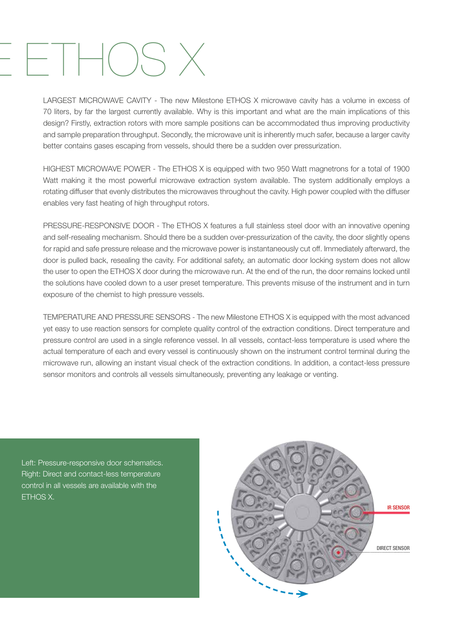#### $-H$ CSX

LARGEST MICROWAVE CAVITY - The new Milestone ETHOS X microwave cavity has a volume in excess of 70 liters, by far the largest currently available. Why is this important and what are the main implications of this design? Firstly, extraction rotors with more sample positions can be accommodated thus improving productivity and sample preparation throughput. Secondly, the microwave unit is inherently much safer, because a larger cavity better contains gases escaping from vessels, should there be a sudden over pressurization.

HIGHEST MICROWAVE POWER - The ETHOS X is equipped with two 950 Watt magnetrons for a total of 1900 Watt making it the most powerful microwave extraction system available. The system additionally employs a rotating diffuser that evenly distributes the microwaves throughout the cavity. High power coupled with the diffuser enables very fast heating of high throughput rotors.

PRESSURE-RESPONSIVE DOOR - The ETHOS X features a full stainless steel door with an innovative opening and self-resealing mechanism. Should there be a sudden over-pressurization of the cavity, the door slightly opens for rapid and safe pressure release and the microwave power is instantaneously cut off. Immediately afterward, the door is pulled back, resealing the cavity. For additional safety, an automatic door locking system does not allow the user to open the ETHOS X door during the microwave run. At the end of the run, the door remains locked until the solutions have cooled down to a user preset temperature. This prevents misuse of the instrument and in turn exposure of the chemist to high pressure vessels.

TEMPERATURE AND PRESSURE SENSORS - The new Milestone ETHOS X is equipped with the most advanced yet easy to use reaction sensors for complete quality control of the extraction conditions. Direct temperature and pressure control are used in a single reference vessel. In all vessels, contact-less temperature is used where the actual temperature of each and every vessel is continuously shown on the instrument control terminal during the microwave run, allowing an instant visual check of the extraction conditions. In addition, a contact-less pressure sensor monitors and controls all vessels simultaneously, preventing any leakage or venting.

Left: Pressure-responsive door schematics. Right: Direct and contact-less temperature control in all vessels are available with the ETHOS X.

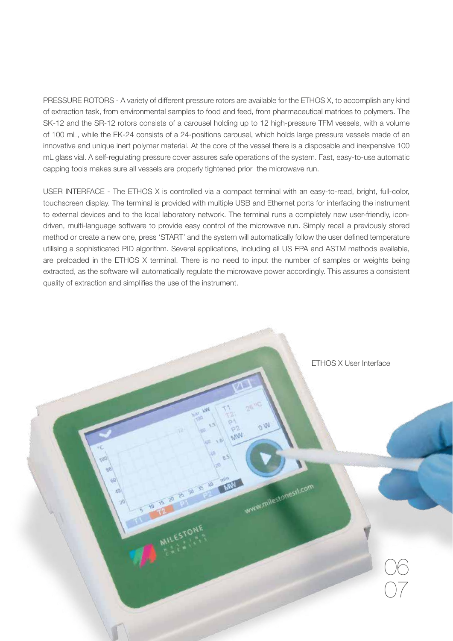PRESSURE ROTORS - A variety of different pressure rotors are available for the ETHOS X, to accomplish any kind of extraction task, from environmental samples to food and feed, from pharmaceutical matrices to polymers. The SK-12 and the SR-12 rotors consists of a carousel holding up to 12 high-pressure TFM vessels, with a volume of 100 mL, while the EK-24 consists of a 24-positions carousel, which holds large pressure vessels made of an innovative and unique inert polymer material. At the core of the vessel there is a disposable and inexpensive 100 mL glass vial. A self-regulating pressure cover assures safe operations of the system. Fast, easy-to-use automatic capping tools makes sure all vessels are properly tightened prior the microwave run.

USER INTERFACE - The ETHOS X is controlled via a compact terminal with an easy-to-read, bright, full-color, touchscreen display. The terminal is provided with multiple USB and Ethernet ports for interfacing the instrument to external devices and to the local laboratory network. The terminal runs a completely new user-friendly, icondriven, multi-language software to provide easy control of the microwave run. Simply recall a previously stored method or create a new one, press 'START' and the system will automatically follow the user defined temperature utilising a sophisticated PID algorithm. Several applications, including all US EPA and ASTM methods available, are preloaded in the ETHOS X terminal. There is no need to input the number of samples or weights being extracted, as the software will automatically regulate the microwave power accordingly. This assures a consistent quality of extraction and simplifies the use of the instrument.